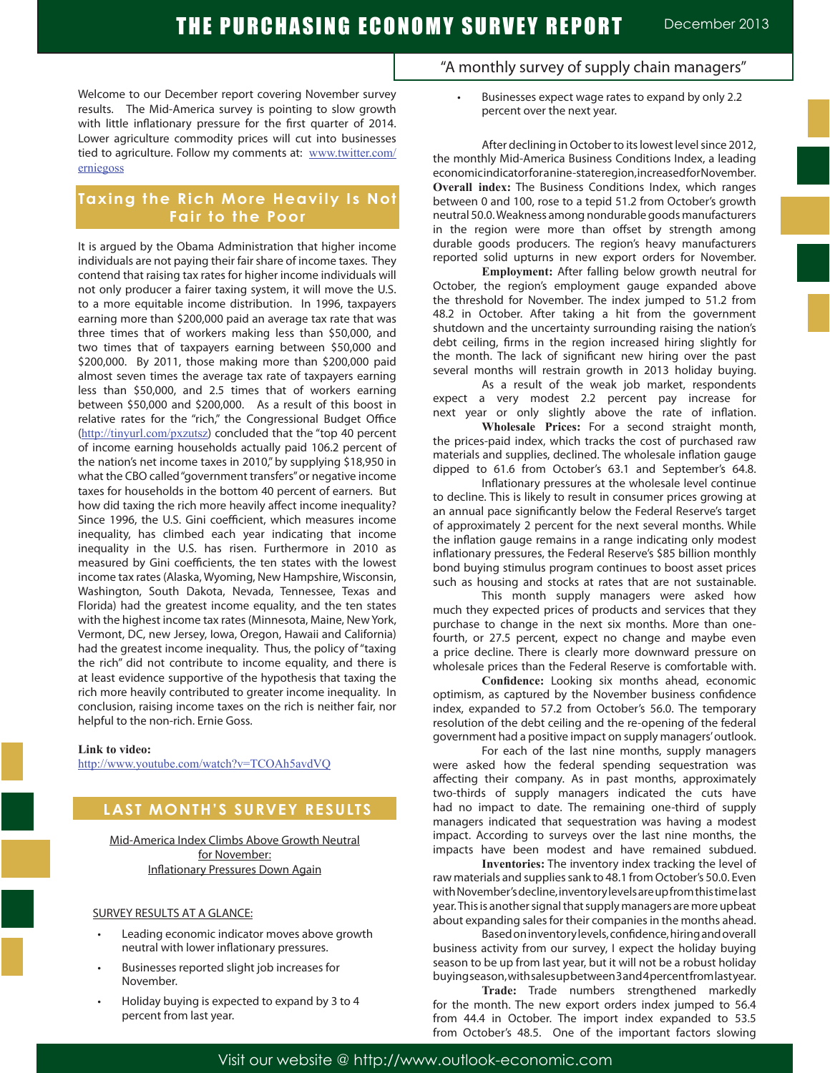Welcome to our December report covering November survey results. The Mid-America survey is pointing to slow growth with little inflationary pressure for the first quarter of 2014. Lower agriculture commodity prices will cut into businesses tied to agriculture. Follow my comments at: www.twitter.com/ erniegoss

### **Taxing the Rich More Heavily Is Not Fair to the Poor**

It is argued by the Obama Administration that higher income individuals are not paying their fair share of income taxes. They contend that raising tax rates for higher income individuals will not only producer a fairer taxing system, it will move the U.S. to a more equitable income distribution. In 1996, taxpayers earning more than \$200,000 paid an average tax rate that was three times that of workers making less than \$50,000, and two times that of taxpayers earning between \$50,000 and \$200,000. By 2011, those making more than \$200,000 paid almost seven times the average tax rate of taxpayers earning less than \$50,000, and 2.5 times that of workers earning between \$50,000 and \$200,000. As a result of this boost in relative rates for the "rich," the Congressional Budget Office (http://tinyurl.com/pxzutsz) concluded that the "top 40 percent of income earning households actually paid 106.2 percent of the nation's net income taxes in 2010," by supplying \$18,950 in what the CBO called "government transfers" or negative income taxes for households in the bottom 40 percent of earners. But how did taxing the rich more heavily affect income inequality? Since 1996, the U.S. Gini coefficient, which measures income inequality, has climbed each year indicating that income inequality in the U.S. has risen. Furthermore in 2010 as measured by Gini coefficients, the ten states with the lowest income tax rates (Alaska, Wyoming, New Hampshire, Wisconsin, Washington, South Dakota, Nevada, Tennessee, Texas and Florida) had the greatest income equality, and the ten states with the highest income tax rates (Minnesota, Maine, New York, Vermont, DC, new Jersey, Iowa, Oregon, Hawaii and California) had the greatest income inequality. Thus, the policy of "taxing the rich" did not contribute to income equality, and there is at least evidence supportive of the hypothesis that taxing the rich more heavily contributed to greater income inequality. In conclusion, raising income taxes on the rich is neither fair, nor helpful to the non-rich. Ernie Goss.

**Link to video:**

http://www.youtube.com/watch?v=TCOAh5avdVQ

## **LAST MONTH'S SURVEY RESULTS**

Mid-America Index Climbs Above Growth Neutral for November: Inflationary Pressures Down Again

#### SURVEY RESULTS AT A GLANCE:

- Leading economic indicator moves above growth neutral with lower inflationary pressures.
- Businesses reported slight job increases for November.
- Holiday buying is expected to expand by 3 to 4 percent from last year.
- "A monthly survey of supply chain managers"
	- Businesses expect wage rates to expand by only 2.2 percent over the next year.

After declining in October to its lowest level since 2012, the monthly Mid-America Business Conditions Index, a leading economic indicator for anine-state region, increased for November. **Overall index:** The Business Conditions Index, which ranges between 0 and 100, rose to a tepid 51.2 from October's growth neutral 50.0. Weakness among nondurable goods manufacturers in the region were more than offset by strength among durable goods producers. The region's heavy manufacturers reported solid upturns in new export orders for November.

**Employment:** After falling below growth neutral for October, the region's employment gauge expanded above the threshold for November. The index jumped to 51.2 from 48.2 in October. After taking a hit from the government shutdown and the uncertainty surrounding raising the nation's debt ceiling, firms in the region increased hiring slightly for the month. The lack of significant new hiring over the past several months will restrain growth in 2013 holiday buying.

 As a result of the weak job market, respondents expect a very modest 2.2 percent pay increase for next year or only slightly above the rate of inflation.

**Wholesale Prices:** For a second straight month, the prices-paid index, which tracks the cost of purchased raw materials and supplies, declined. The wholesale inflation gauge dipped to 61.6 from October's 63.1 and September's 64.8.

Inflationary pressures at the wholesale level continue to decline. This is likely to result in consumer prices growing at an annual pace significantly below the Federal Reserve's target of approximately 2 percent for the next several months. While the inflation gauge remains in a range indicating only modest inflationary pressures, the Federal Reserve's \$85 billion monthly bond buying stimulus program continues to boost asset prices such as housing and stocks at rates that are not sustainable.

This month supply managers were asked how much they expected prices of products and services that they purchase to change in the next six months. More than onefourth, or 27.5 percent, expect no change and maybe even a price decline. There is clearly more downward pressure on wholesale prices than the Federal Reserve is comfortable with.

**Confidence:** Looking six months ahead, economic optimism, as captured by the November business confidence index, expanded to 57.2 from October's 56.0. The temporary resolution of the debt ceiling and the re-opening of the federal government had a positive impact on supply managers' outlook.

For each of the last nine months, supply managers were asked how the federal spending sequestration was affecting their company. As in past months, approximately two-thirds of supply managers indicated the cuts have had no impact to date. The remaining one-third of supply managers indicated that sequestration was having a modest impact. According to surveys over the last nine months, the impacts have been modest and have remained subdued.

**Inventories:** The inventory index tracking the level of raw materials and supplies sank to 48.1 from October's 50.0. Even with November's decline, inventory levels are up from this time last year. This is another signal that supply managers are more upbeat about expanding sales for their companies in the months ahead.

Based on inventory levels, confidence, hiring and overall business activity from our survey, I expect the holiday buying season to be up from last year, but it will not be a robust holiday buying season, with sales up between 3 and 4 percent from last year.

**Trade:** Trade numbers strengthened markedly for the month. The new export orders index jumped to 56.4 from 44.4 in October. The import index expanded to 53.5 from October's 48.5. One of the important factors slowing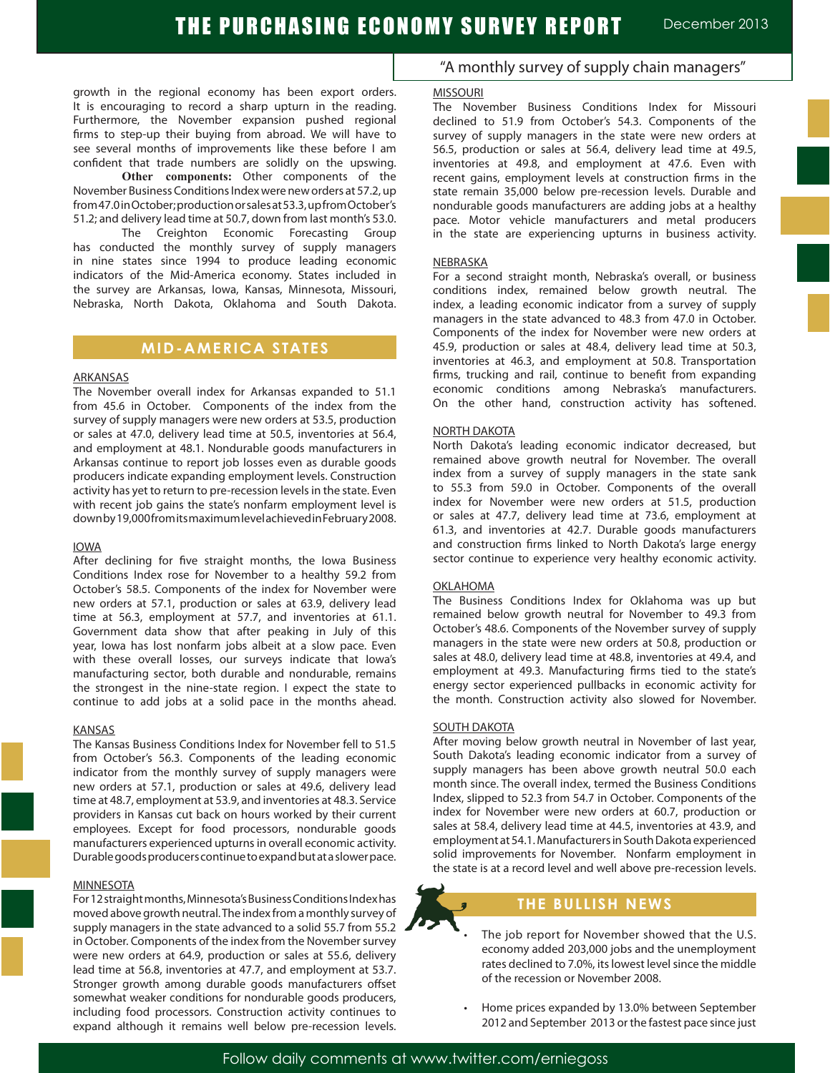growth in the regional economy has been export orders. It is encouraging to record a sharp upturn in the reading. Furthermore, the November expansion pushed regional firms to step-up their buying from abroad. We will have to see several months of improvements like these before I am confident that trade numbers are solidly on the upswing.

**Other components:** Other components of the November Business Conditions Index were new orders at 57.2, up from 47.0 in October; production or sales at 53.3, up from October's 51.2; and delivery lead time at 50.7, down from last month's 53.0.

The Creighton Economic Forecasting Group has conducted the monthly survey of supply managers in nine states since 1994 to produce leading economic indicators of the Mid-America economy. States included in the survey are Arkansas, Iowa, Kansas, Minnesota, Missouri, Nebraska, North Dakota, Oklahoma and South Dakota.

## **MID-AMERICA STATES**

### ARKANSAS

The November overall index for Arkansas expanded to 51.1 from 45.6 in October. Components of the index from the survey of supply managers were new orders at 53.5, production or sales at 47.0, delivery lead time at 50.5, inventories at 56.4, and employment at 48.1. Nondurable goods manufacturers in Arkansas continue to report job losses even as durable goods producers indicate expanding employment levels. Construction activity has yet to return to pre-recession levels in the state. Even with recent job gains the state's nonfarm employment level is down by 19,000 from its maximum level achieved in February 2008.

#### IOWA

After declining for five straight months, the Iowa Business Conditions Index rose for November to a healthy 59.2 from October's 58.5. Components of the index for November were new orders at 57.1, production or sales at 63.9, delivery lead time at 56.3, employment at 57.7, and inventories at 61.1. Government data show that after peaking in July of this year, Iowa has lost nonfarm jobs albeit at a slow pace. Even with these overall losses, our surveys indicate that Iowa's manufacturing sector, both durable and nondurable, remains the strongest in the nine-state region. I expect the state to continue to add jobs at a solid pace in the months ahead.

#### **KANSAS**

The Kansas Business Conditions Index for November fell to 51.5 from October's 56.3. Components of the leading economic indicator from the monthly survey of supply managers were new orders at 57.1, production or sales at 49.6, delivery lead time at 48.7, employment at 53.9, and inventories at 48.3. Service providers in Kansas cut back on hours worked by their current employees. Except for food processors, nondurable goods manufacturers experienced upturns in overall economic activity. Durable goods producers continue to expand but at a slower pace.

#### **MINNESOTA**

For 12 straight months, Minnesota's Business Conditions Index has moved above growth neutral. The index from a monthly survey of supply managers in the state advanced to a solid 55.7 from 55.2 in October. Components of the index from the November survey were new orders at 64.9, production or sales at 55.6, delivery lead time at 56.8, inventories at 47.7, and employment at 53.7. Stronger growth among durable goods manufacturers offset somewhat weaker conditions for nondurable goods producers, including food processors. Construction activity continues to expand although it remains well below pre-recession levels.

### "A monthly survey of supply chain managers"

#### **MISSOURI**

The November Business Conditions Index for Missouri declined to 51.9 from October's 54.3. Components of the survey of supply managers in the state were new orders at 56.5, production or sales at 56.4, delivery lead time at 49.5, inventories at 49.8, and employment at 47.6. Even with recent gains, employment levels at construction firms in the state remain 35,000 below pre-recession levels. Durable and nondurable goods manufacturers are adding jobs at a healthy pace. Motor vehicle manufacturers and metal producers in the state are experiencing upturns in business activity.

#### NEBRASKA

For a second straight month, Nebraska's overall, or business conditions index, remained below growth neutral. The index, a leading economic indicator from a survey of supply managers in the state advanced to 48.3 from 47.0 in October. Components of the index for November were new orders at 45.9, production or sales at 48.4, delivery lead time at 50.3, inventories at 46.3, and employment at 50.8. Transportation firms, trucking and rail, continue to benefit from expanding economic conditions among Nebraska's manufacturers. On the other hand, construction activity has softened.

#### NORTH DAKOTA

North Dakota's leading economic indicator decreased, but remained above growth neutral for November. The overall index from a survey of supply managers in the state sank to 55.3 from 59.0 in October. Components of the overall index for November were new orders at 51.5, production or sales at 47.7, delivery lead time at 73.6, employment at 61.3, and inventories at 42.7. Durable goods manufacturers and construction firms linked to North Dakota's large energy sector continue to experience very healthy economic activity.

#### OKLAHOMA

The Business Conditions Index for Oklahoma was up but remained below growth neutral for November to 49.3 from October's 48.6. Components of the November survey of supply managers in the state were new orders at 50.8, production or sales at 48.0, delivery lead time at 48.8, inventories at 49.4, and employment at 49.3. Manufacturing firms tied to the state's energy sector experienced pullbacks in economic activity for the month. Construction activity also slowed for November.

#### SOUTH DAKOTA

After moving below growth neutral in November of last year, South Dakota's leading economic indicator from a survey of supply managers has been above growth neutral 50.0 each month since. The overall index, termed the Business Conditions Index, slipped to 52.3 from 54.7 in October. Components of the index for November were new orders at 60.7, production or sales at 58.4, delivery lead time at 44.5, inventories at 43.9, and employment at 54.1. Manufacturers in South Dakota experienced solid improvements for November. Nonfarm employment in the state is at a record level and well above pre-recession levels.



### **THE BULLISH NEWS**

- The job report for November showed that the U.S. economy added 203,000 jobs and the unemployment rates declined to 7.0%, its lowest level since the middle of the recession or November 2008.
- Home prices expanded by 13.0% between September 2012 and September 2013 orthe fastest pace since just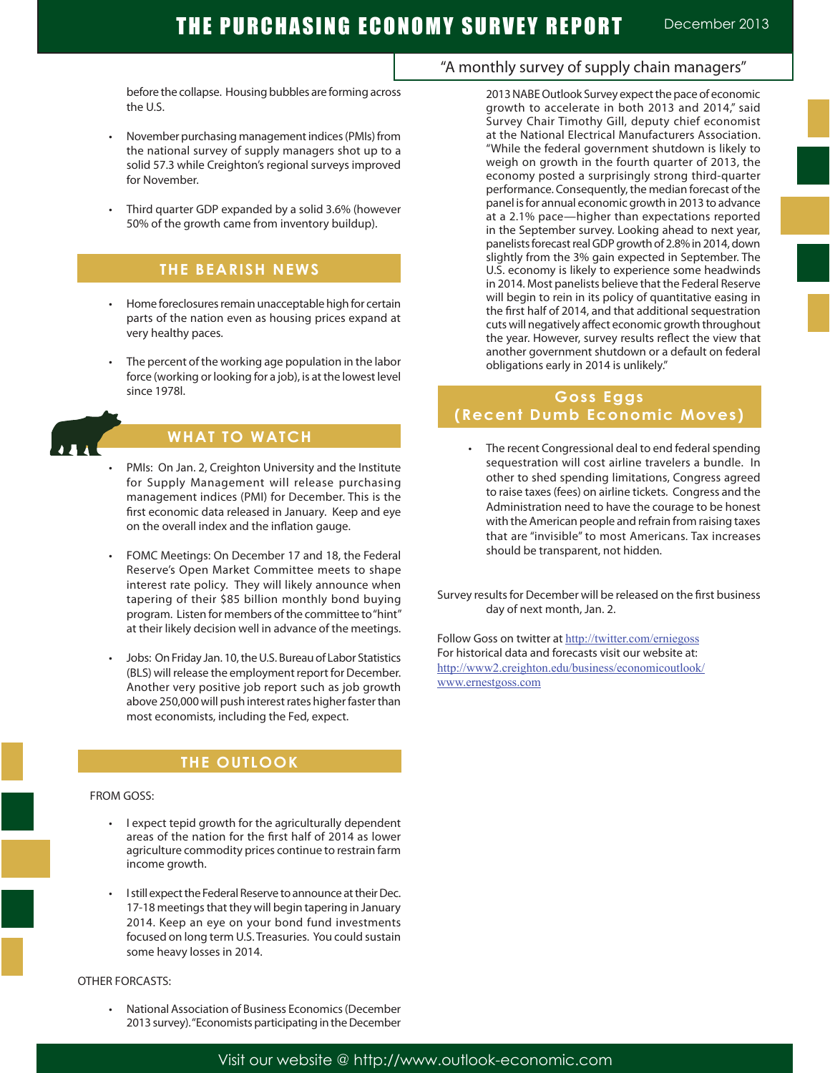before the collapse. Housing bubbles are forming across the U.S.

- November purchasing management indices (PMIs) from the national survey of supply managers shot up to a solid 57.3 while Creighton's regional surveys improved for November.
- Third quarter GDP expanded by a solid 3.6% (however 50% of the growth came from inventory buildup).

### **THE BEARISH NEWS**

- Home foreclosures remain unacceptable high for certain parts of the nation even as housing prices expand at very healthy paces.
- The percent of the working age population in the labor force (working or looking for a job), is at the lowest level since 1978l.



## **WHAT TO WATCH**

- PMIs: On Jan. 2, Creighton University and the Institute for Supply Management will release purchasing management indices (PMI) for December. This is the first economic data released in January. Keep and eye on the overall index and the inflation gauge.
- FOMC Meetings: On December 17 and 18, the Federal Reserve's Open Market Committee meets to shape interest rate policy. They will likely announce when tapering of their \$85 billion monthly bond buying program. Listen for members of the committee to "hint" at their likely decision well in advance of the meetings.
- Jobs: On Friday Jan. 10, the U.S. Bureau of Labor Statistics (BLS) will release the employment report for December. Another very positive job report such as job growth above 250,000 will push interest rates higher faster than most economists, including the Fed, expect.

## **THE OUTLOOK**

#### FROM GOSS:

- I expect tepid growth for the agriculturally dependent areas of the nation for the first half of 2014 as lower agriculture commodity prices continue to restrain farm income growth.
- I still expect the Federal Reserve to announce at their Dec. 17-18 meetings that they will begin tapering in January 2014. Keep an eye on your bond fund investments focused on long term U.S. Treasuries. You could sustain some heavy losses in 2014.

#### OTHER FORCASTS:

National Association of Business Economics (December 2013 survey). "Economists participating in the December

### "A monthly survey of supply chain managers"

2013 NABE Outlook Survey expect the pace of economic growth to accelerate in both 2013 and 2014," said Survey Chair Timothy Gill, deputy chief economist at the National Electrical Manufacturers Association. "While the federal government shutdown is likely to weigh on growth in the fourth quarter of 2013, the economy posted a surprisingly strong third-quarter performance. Consequently, the median forecast of the panel is for annual economic growth in 2013 to advance at a 2.1% pace—higher than expectations reported in the September survey. Looking ahead to next year, panelists forecast real GDP growth of 2.8% in 2014, down slightly from the 3% gain expected in September. The U.S. economy is likely to experience some headwinds in 2014. Most panelists believe that the Federal Reserve will begin to rein in its policy of quantitative easing in the first half of 2014, and that additional sequestration cuts will negatively affect economic growth throughout the year. However, survey results reflect the view that another government shutdown or a default on federal obligations early in 2014 is unlikely."

## **Goss Eggs (Recent Dumb Economic Moves)**

• The recent Congressional deal to end federal spending sequestration will cost airline travelers a bundle. In other to shed spending limitations, Congress agreed to raise taxes (fees) on airline tickets. Congress and the Administration need to have the courage to be honest with the American people and refrain from raising taxes that are "invisible" to most Americans. Tax increases should be transparent, not hidden.

Survey results for December will be released on the first business day of next month, Jan. 2.

Follow Goss on twitter at http://twitter.com/erniegoss For historical data and forecasts visit our website at: http://www2.creighton.edu/business/economicoutlook/ www.ernestgoss.com